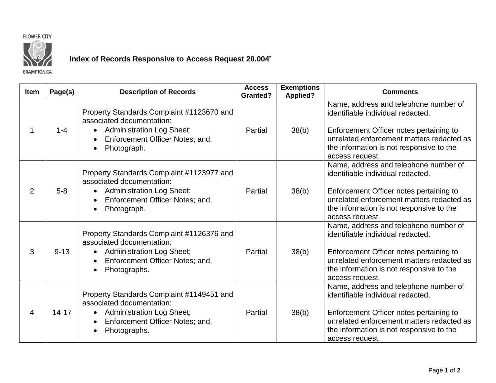



## **Index of Records Responsive to Access Request 20.004\***

**BRAMPTON.CA** 

| <b>Item</b>    | Page(s)   | <b>Description of Records</b>                                                                                                                                                          | <b>Access</b><br><b>Granted?</b> | <b>Exemptions</b><br><b>Applied?</b> | <b>Comments</b>                                                                                                                                                                                                                   |
|----------------|-----------|----------------------------------------------------------------------------------------------------------------------------------------------------------------------------------------|----------------------------------|--------------------------------------|-----------------------------------------------------------------------------------------------------------------------------------------------------------------------------------------------------------------------------------|
|                | $1 - 4$   | Property Standards Complaint #1123670 and<br>associated documentation:<br><b>Administration Log Sheet;</b><br>$\bullet$<br>Enforcement Officer Notes; and,<br>Photograph.<br>$\bullet$ | Partial                          | 38(b)                                | Name, address and telephone number of<br>identifiable individual redacted.<br>Enforcement Officer notes pertaining to<br>unrelated enforcement matters redacted as<br>the information is not responsive to the<br>access request. |
| $\overline{2}$ | $5-8$     | Property Standards Complaint #1123977 and<br>associated documentation:<br><b>Administration Log Sheet;</b><br>Enforcement Officer Notes; and,<br>$\bullet$<br>Photograph.<br>$\bullet$ | Partial                          | 38(b)                                | Name, address and telephone number of<br>identifiable individual redacted.<br>Enforcement Officer notes pertaining to<br>unrelated enforcement matters redacted as<br>the information is not responsive to the<br>access request. |
| 3              | $9 - 13$  | Property Standards Complaint #1126376 and<br>associated documentation:<br><b>Administration Log Sheet;</b><br>$\bullet$<br>Enforcement Officer Notes; and,<br>Photographs.             | Partial                          | 38(b)                                | Name, address and telephone number of<br>identifiable individual redacted.<br>Enforcement Officer notes pertaining to<br>unrelated enforcement matters redacted as<br>the information is not responsive to the<br>access request. |
| 4              | $14 - 17$ | Property Standards Complaint #1149451 and<br>associated documentation:<br><b>Administration Log Sheet;</b><br>Enforcement Officer Notes; and,<br>$\bullet$<br>Photographs.             | Partial                          | 38(b)                                | Name, address and telephone number of<br>identifiable individual redacted.<br>Enforcement Officer notes pertaining to<br>unrelated enforcement matters redacted as<br>the information is not responsive to the<br>access request. |